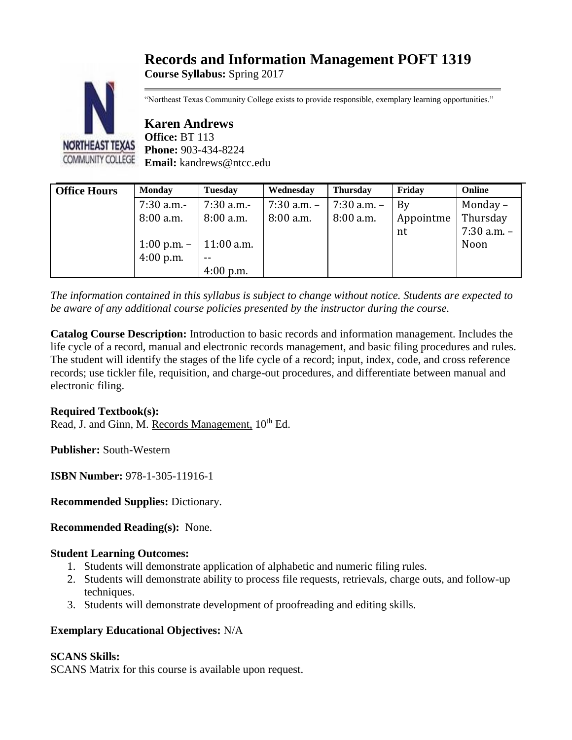# **Records and Information Management POFT 1319**

**Course Syllabus:** Spring 2017



"Northeast Texas Community College exists to provide responsible, exemplary learning opportunities."

**Karen Andrews Office:** BT 113 **Phone:** 903-434-8224 **Email:** kandrews@ntcc.edu

| <b>Office Hours</b> | <b>Monday</b>              | <b>Tuesday</b> | Wednesday   | <b>Thursday</b> | Friday    | Online          |
|---------------------|----------------------------|----------------|-------------|-----------------|-----------|-----------------|
|                     | 7:30 a.m.-                 | $7:30$ a.m.-   | 7:30 a.m. - | 7:30 a.m. –     | By        | Monday –        |
|                     | 8:00 a.m.                  | $8:00$ a.m.    | 8:00 a.m.   | $8:00$ a.m.     | Appointme | Thursday        |
|                     |                            |                |             |                 | nt        | $7:30$ a.m. $-$ |
|                     | 1:00 p.m. $-$   11:00 a.m. |                |             |                 |           | Noon            |
|                     | $4:00$ p.m.                | $ -$           |             |                 |           |                 |
|                     |                            | $4:00$ p.m.    |             |                 |           |                 |

*The information contained in this syllabus is subject to change without notice. Students are expected to be aware of any additional course policies presented by the instructor during the course.*

**Catalog Course Description:** Introduction to basic records and information management. Includes the life cycle of a record, manual and electronic records management, and basic filing procedures and rules. The student will identify the stages of the life cycle of a record; input, index, code, and cross reference records; use tickler file, requisition, and charge-out procedures, and differentiate between manual and electronic filing.

# **Required Textbook(s):**

Read, J. and Ginn, M. Records Management,  $10^{th}$  Ed.

**Publisher:** South-Western

**ISBN Number:** 978-1-305-11916-1

**Recommended Supplies:** Dictionary.

**Recommended Reading(s):** None.

# **Student Learning Outcomes:**

- 1. Students will demonstrate application of alphabetic and numeric filing rules.
- 2. Students will demonstrate ability to process file requests, retrievals, charge outs, and follow-up techniques.
- 3. Students will demonstrate development of proofreading and editing skills.

# **Exemplary Educational Objectives:** N/A

# **SCANS Skills:**

SCANS Matrix for this course is available upon request.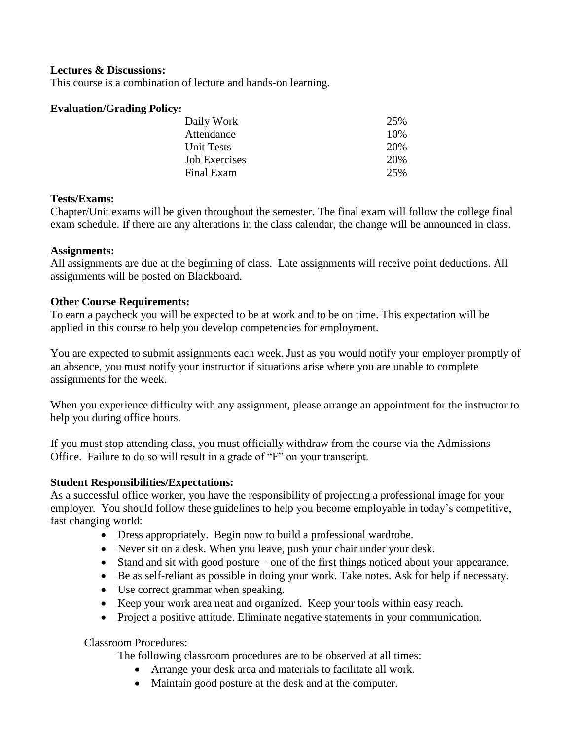#### **Lectures & Discussions:**

This course is a combination of lecture and hands-on learning.

#### **Evaluation/Grading Policy:**

| Daily Work        | 25%  |
|-------------------|------|
| Attendance        | 10\% |
| <b>Unit Tests</b> | 20%  |
| Job Exercises     | 20\% |
| Final Exam        | 25%  |

#### **Tests/Exams:**

Chapter/Unit exams will be given throughout the semester. The final exam will follow the college final exam schedule. If there are any alterations in the class calendar, the change will be announced in class.

#### **Assignments:**

All assignments are due at the beginning of class. Late assignments will receive point deductions. All assignments will be posted on Blackboard.

## **Other Course Requirements:**

To earn a paycheck you will be expected to be at work and to be on time. This expectation will be applied in this course to help you develop competencies for employment.

You are expected to submit assignments each week. Just as you would notify your employer promptly of an absence, you must notify your instructor if situations arise where you are unable to complete assignments for the week.

When you experience difficulty with any assignment, please arrange an appointment for the instructor to help you during office hours.

If you must stop attending class, you must officially withdraw from the course via the Admissions Office. Failure to do so will result in a grade of "F" on your transcript.

# **Student Responsibilities/Expectations:**

As a successful office worker, you have the responsibility of projecting a professional image for your employer. You should follow these guidelines to help you become employable in today's competitive, fast changing world:

- Dress appropriately. Begin now to build a professional wardrobe.
- Never sit on a desk. When you leave, push your chair under your desk.
- Stand and sit with good posture one of the first things noticed about your appearance.
- Be as self-reliant as possible in doing your work. Take notes. Ask for help if necessary.
- Use correct grammar when speaking.
- Keep your work area neat and organized. Keep your tools within easy reach.
- Project a positive attitude. Eliminate negative statements in your communication.

Classroom Procedures:

The following classroom procedures are to be observed at all times:

- Arrange your desk area and materials to facilitate all work.
- Maintain good posture at the desk and at the computer.